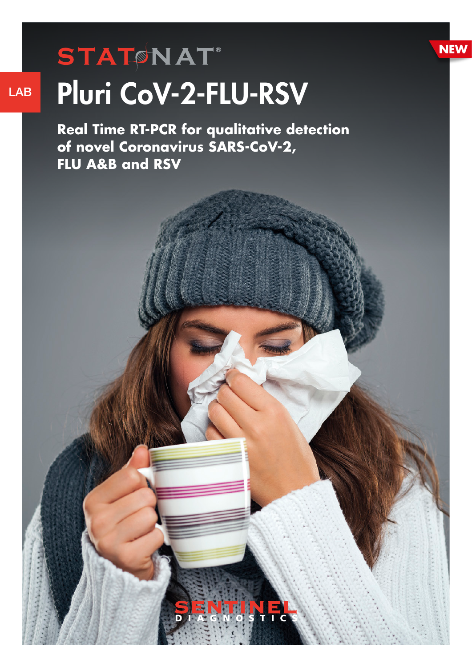# **STATONAT**® LAB Pluri CoV-2-FLU-RSV

**Real Time RT-PCR for qualitative detection of novel Coronavirus SARS-CoV-2, FLU A&B and RSV** 

**NEW**

INE